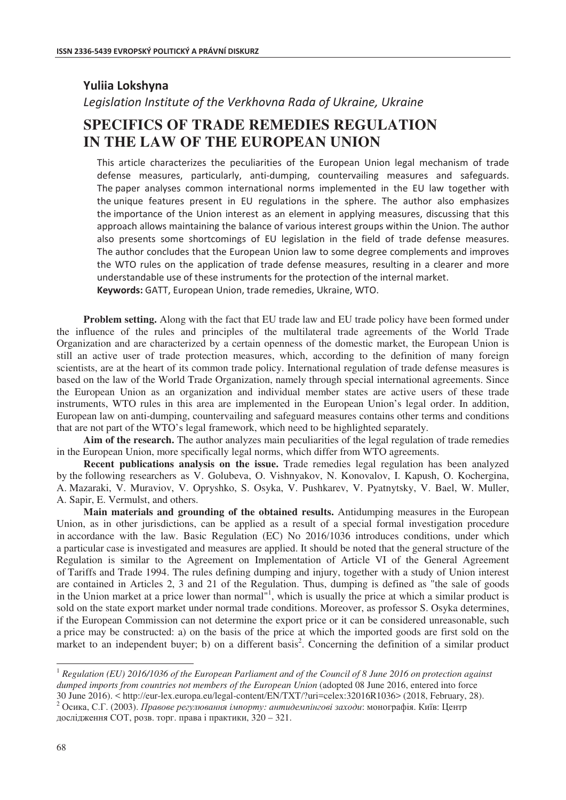## **Yuliia Lokshvna**

Legislation Institute of the Verkhovna Rada of Ukraine, Ukraine

# **SPECIFICS OF TRADE REMEDIES REGULATION IN THE LAW OF THE EUROPEAN UNION**

This article characterizes the peculiarities of the European Union legal mechanism of trade defense measures, particularly, anti-dumping, countervailing measures and safeguards. The paper analyses common international norms implemented in the EU law together with the unique features present in EU regulations in the sphere. The author also emphasizes the importance of the Union interest as an element in applying measures, discussing that this approach allows maintaining the balance of various interest groups within the Union. The author also presents some shortcomings of EU legislation in the field of trade defense measures. The author concludes that the European Union law to some degree complements and improves the WTO rules on the application of trade defense measures, resulting in a clearer and more understandable use of these instruments for the protection of the internal market. Keywords: GATT, European Union, trade remedies, Ukraine, WTO.

**Problem setting.** Along with the fact that EU trade law and EU trade policy have been formed under the influence of the rules and principles of the multilateral trade agreements of the World Trade Organization and are characterized by a certain openness of the domestic market, the European Union is still an active user of trade protection measures, which, according to the definition of many foreign scientists, are at the heart of its common trade policy. International regulation of trade defense measures is based on the law of the World Trade Organization, namely through special international agreements. Since the European Union as an organization and individual member states are active users of these trade instruments, WTO rules in this area are implemented in the European Union's legal order. In addition, European law on anti-dumping, countervailing and safeguard measures contains other terms and conditions that are not part of the WTO's legal framework, which need to be highlighted separately.

**Aim of the research.** The author analyzes main peculiarities of the legal regulation of trade remedies in the European Union, more specifically legal norms, which differ from WTO agreements.

**Recent publications analysis on the issue.** Trade remedies legal regulation has been analyzed by the following researchers as V. Golubeva, O. Vishnyakov, N. Konovalov, I. Kapush, O. Kochergina, A. Mazaraki, V. Muraviov, V. Opryshko, S. Osyka, V. Pushkarev, V. Pyatnytsky, V. Bael, W. Muller, A. Sapir, E. Vermulst, and others.

**Main materials and grounding of the obtained results.** Antidumping measures in the European Union, as in other jurisdictions, can be applied as a result of a special formal investigation procedure in accordance with the law. Basic Regulation (EC) No 2016/1036 introduces conditions, under which a particular case is investigated and measures are applied. It should be noted that the general structure of the Regulation is similar to the Agreement on Implementation of Article VI of the General Agreement of Tariffs and Trade 1994. The rules defining dumping and injury, together with a study of Union interest are contained in Articles 2, 3 and 21 of the Regulation. Thus, dumping is defined as "the sale of goods in the Union market at a price lower than normal<sup>"1</sup>, which is usually the price at which a similar product is sold on the state export market under normal trade conditions. Moreover, as professor S. Osyka determines, if the European Commission can not determine the export price or it can be considered unreasonable, such a price may be constructed: a) on the basis of the price at which the imported goods are first sold on the market to an independent buyer; b) on a different basis<sup>2</sup>. Concerning the definition of a similar product

 $\overline{a}$ 

<sup>1</sup> *Regulation (EU) 2016/1036 of the European Parliament and of the Council of 8 June 2016 on protection against dumped imports from countries not members of the European Union* (adopted 08 June 2016, entered into force

<sup>30</sup> June 2016). < http://eur-lex.europa.eu/legal-content/EN/TXT/?uri=celex:32016R1036> (2018, February, 28).<br><sup>2</sup> Осика, С.Г. (2003). Правове регулювання імпорту: антидемпінгові заходи: монографія. Київ: Центр дослідження СОТ, розв. торг. права і практики, 320 – 321.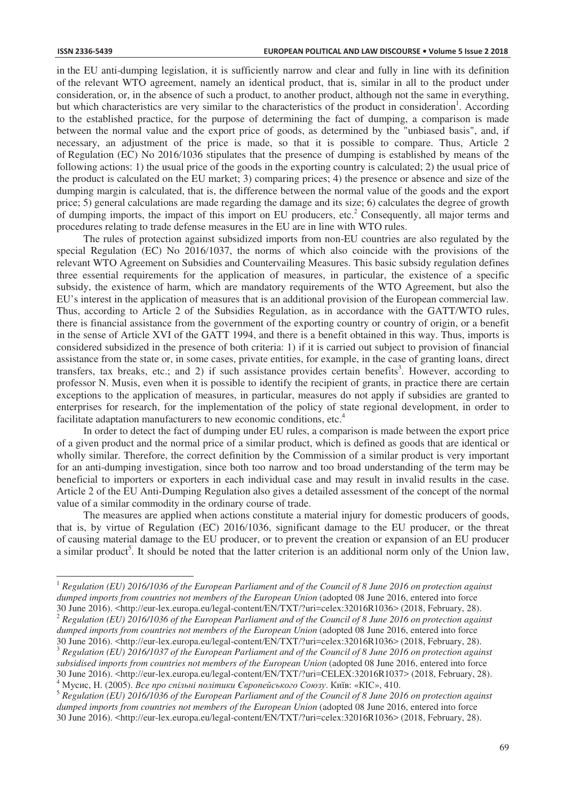$\overline{a}$ 

in the EU anti-dumping legislation, it is sufficiently narrow and clear and fully in line with its definition of the relevant WTO agreement, namely an identical product, that is, similar in all to the product under consideration, or, in the absence of such a product, to another product, although not the same in everything, but which characteristics are very similar to the characteristics of the product in consideration<sup>1</sup>. According to the established practice, for the purpose of determining the fact of dumping, a comparison is made between the normal value and the export price of goods, as determined by the "unbiased basis", and, if necessary, an adjustment of the price is made, so that it is possible to compare. Thus, Article 2 of Regulation (EC) No 2016/1036 stipulates that the presence of dumping is established by means of the following actions: 1) the usual price of the goods in the exporting country is calculated; 2) the usual price of the product is calculated on the EU market; 3) comparing prices; 4) the presence or absence and size of the dumping margin is calculated, that is, the difference between the normal value of the goods and the export price; 5) general calculations are made regarding the damage and its size; 6) calculates the degree of growth of dumping imports, the impact of this import on EU producers, etc.<sup>2</sup> Consequently, all major terms and procedures relating to trade defense measures in the EU are in line with WTO rules.

The rules of protection against subsidized imports from non-EU countries are also regulated by the special Regulation (EC) No 2016/1037, the norms of which also coincide with the provisions of the relevant WTO Agreement on Subsidies and Countervailing Measures. This basic subsidy regulation defines three essential requirements for the application of measures, in particular, the existence of a specific subsidy, the existence of harm, which are mandatory requirements of the WTO Agreement, but also the EU's interest in the application of measures that is an additional provision of the European commercial law. Thus, according to Article 2 of the Subsidies Regulation, as in accordance with the GATT/WTO rules, there is financial assistance from the government of the exporting country or country of origin, or a benefit in the sense of Article XVI of the GATT 1994, and there is a benefit obtained in this way. Thus, imports is considered subsidized in the presence of both criteria: 1) if it is carried out subject to provision of financial assistance from the state or, in some cases, private entities, for example, in the case of granting loans, direct transfers, tax breaks, etc.; and 2) if such assistance provides certain benefits<sup>3</sup>. However, according to professor N. Musis, even when it is possible to identify the recipient of grants, in practice there are certain exceptions to the application of measures, in particular, measures do not apply if subsidies are granted to enterprises for research, for the implementation of the policy of state regional development, in order to facilitate adaptation manufacturers to new economic conditions, etc.<sup>4</sup>

In order to detect the fact of dumping under EU rules, a comparison is made between the export price of a given product and the normal price of a similar product, which is defined as goods that are identical or wholly similar. Therefore, the correct definition by the Commission of a similar product is very important for an anti-dumping investigation, since both too narrow and too broad understanding of the term may be beneficial to importers or exporters in each individual case and may result in invalid results in the case. Article 2 of the EU Anti-Dumping Regulation also gives a detailed assessment of the concept of the normal value of a similar commodity in the ordinary course of trade.

The measures are applied when actions constitute a material injury for domestic producers of goods, that is, by virtue of Regulation (EC) 2016/1036, significant damage to the EU producer, or the threat of causing material damage to the EU producer, or to prevent the creation or expansion of an EU producer a similar product<sup>5</sup>. It should be noted that the latter criterion is an additional norm only of the Union law,

<sup>1</sup> *Regulation (EU) 2016/1036 of the European Parliament and of the Council of 8 June 2016 on protection against dumped imports from countries not members of the European Union* (adopted 08 June 2016, entered into force 30 June 2016). <http://eur-lex.europa.eu/legal-content/EN/TXT/?uri=celex:32016R1036> (2018, February, 28).

 $2$  Regulation (EU) 2016/1036 of the European Parliament and of the Council of 8 June 2016 on protection against *dumped imports from countries not members of the European Union* (adopted 08 June 2016, entered into force

<sup>30</sup> June 2016). <http://eur-lex.europa.eu/legal-content/EN/TXT/?uri=celex:32016R1036> (2018, February, 28).<br><sup>3</sup> Regulation (EU) 2016/1037 of the European Parliament and of the Council of 8 June 2016 on protection against *subsidised imports from countries not members of the European Union* (adopted 08 June 2016, entered into force 30 June 2016). <http://eur-lex.europa.eu/legal-content/EN/TXT/?uri=CELEX:32016R1037> (2018, February, 28). 4 Мусис, Н. (2005). Все про спільні політики Європейського Союзу. Київ: «КІС», 410.

<sup>5</sup> *Regulation (EU) 2016/1036 of the European Parliament and of the Council of 8 June 2016 on protection against dumped imports from countries not members of the European Union* (adopted 08 June 2016, entered into force 30 June 2016). <http://eur-lex.europa.eu/legal-content/EN/TXT/?uri=celex:32016R1036> (2018, February, 28).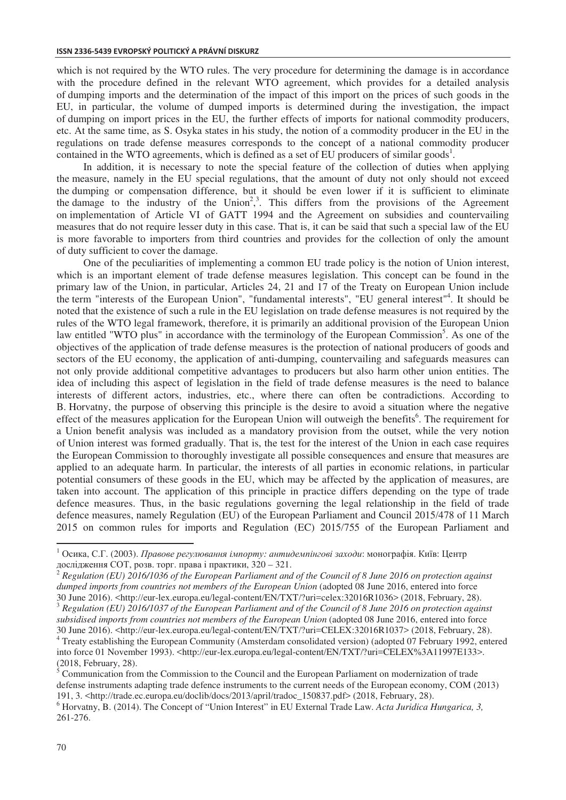which is not required by the WTO rules. The very procedure for determining the damage is in accordance with the procedure defined in the relevant WTO agreement, which provides for a detailed analysis of dumping imports and the determination of the impact of this import on the prices of such goods in the EU, in particular, the volume of dumped imports is determined during the investigation, the impact of dumping on import prices in the EU, the further effects of imports for national commodity producers, etc. At the same time, as S. Osyka states in his study, the notion of a commodity producer in the EU in the regulations on trade defense measures corresponds to the concept of a national commodity producer contained in the WTO agreements, which is defined as a set of EU producers of similar goods<sup>1</sup>.

In addition, it is necessary to note the special feature of the collection of duties when applying the measure, namely in the EU special regulations, that the amount of duty not only should not exceed the dumping or compensation difference, but it should be even lower if it is sufficient to eliminate the damage to the industry of the Union<sup>2,3</sup>. This differs from the provisions of the Agreement on implementation of Article VI of GATT 1994 and the Agreement on subsidies and countervailing measures that do not require lesser duty in this case. That is, it can be said that such a special law of the EU is more favorable to importers from third countries and provides for the collection of only the amount of duty sufficient to cover the damage.

One of the peculiarities of implementing a common EU trade policy is the notion of Union interest, which is an important element of trade defense measures legislation. This concept can be found in the primary law of the Union, in particular, Articles 24, 21 and 17 of the Treaty on European Union include the term "interests of the European Union", "fundamental interests", "EU general interest"4 . It should be noted that the existence of such a rule in the EU legislation on trade defense measures is not required by the rules of the WTO legal framework, therefore, it is primarily an additional provision of the European Union law entitled "WTO plus" in accordance with the terminology of the European Commission<sup>5</sup>. As one of the objectives of the application of trade defense measures is the protection of national producers of goods and sectors of the EU economy, the application of anti-dumping, countervailing and safeguards measures can not only provide additional competitive advantages to producers but also harm other union entities. The idea of including this aspect of legislation in the field of trade defense measures is the need to balance interests of different actors, industries, etc., where there can often be contradictions. According to B. Horvatny, the purpose of observing this principle is the desire to avoid a situation where the negative effect of the measures application for the European Union will outweigh the benefits<sup>6</sup>. The requirement for a Union benefit analysis was included as a mandatory provision from the outset, while the very notion of Union interest was formed gradually. That is, the test for the interest of the Union in each case requires the European Commission to thoroughly investigate all possible consequences and ensure that measures are applied to an adequate harm. In particular, the interests of all parties in economic relations, in particular potential consumers of these goods in the EU, which may be affected by the application of measures, are taken into account. The application of this principle in practice differs depending on the type of trade defence measures. Thus, in the basic regulations governing the legal relationship in the field of trade defence measures, namely Regulation (EU) of the European Parliament and Council 2015/478 of 11 March 2015 on common rules for imports and Regulation (EC) 2015/755 of the European Parliament and

 $\overline{a}$ 

<sup>&</sup>lt;sup>1</sup> Осика, С.Г. (2003). *Правове регулювання імпорту: антидемпінгові заходи*: монографія. Київ: Центр дослідження СОТ, розв. торг. права і практики, 320 – 321.<br><sup>2</sup> Regulation (EU) 2016/1036 of the European Parliament and of the Council of 8 June 2016 on protection against

*dumped imports from countries not members of the European Union* (adopted 08 June 2016, entered into force 30 June 2016). <http://eur-lex.europa.eu/legal-content/EN/TXT/?uri=celex:32016R1036> (2018, February, 28).

 $3$  Regulation (EU) 2016/1037 of the European Parliament and of the Council of 8 June 2016 on protection against *subsidised imports from countries not members of the European Union* (adopted 08 June 2016, entered into force 30 June 2016). <http://eur-lex.europa.eu/legal-content/EN/TXT/?uri=CELEX:32016R1037> (2018, February, 28). 4

<sup>&</sup>lt;sup>4</sup> Treaty establishing the European Community (Amsterdam consolidated version) (adopted 07 February 1992, entered into force 01 November 1993). <http://eur-lex.europa.eu/legal-content/EN/TXT/?uri=CELEX%3A11997E133>. (2018, February, 28).

<sup>&</sup>lt;sup>5</sup> Communication from the Commission to the Council and the European Parliament on modernization of trade defense instruments adapting trade defence instruments to the current needs of the European economy, COM (2013) 191, 3. <http://trade.ec.europa.eu/doclib/docs/2013/april/tradoc\_150837.pdf> (2018, February, 28).

<sup>6</sup> Horvatny, B. (2014). The Concept of "Union Interest" in EU External Trade Law. *Acta Juridica Hungarica, 3,*  261-276.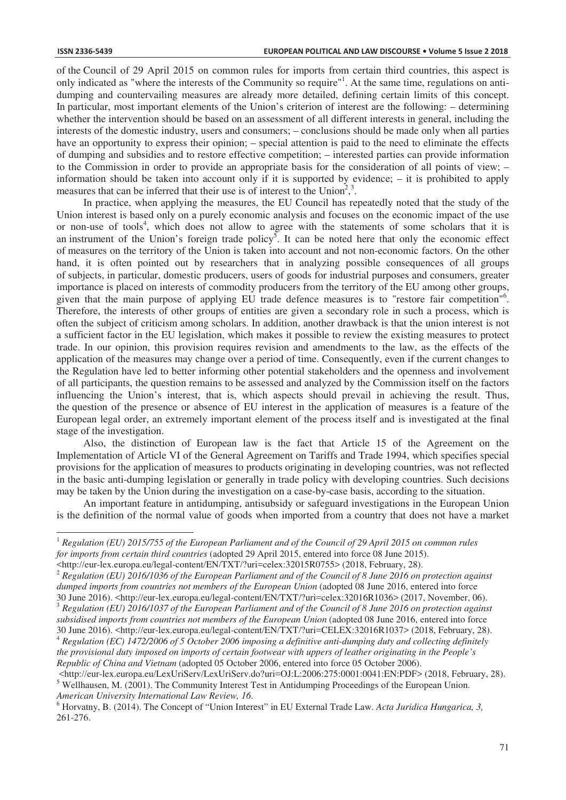$\overline{a}$ 

of the Council of 29 April 2015 on common rules for imports from certain third countries, this aspect is only indicated as "where the interests of the Community so require"<sup>1</sup>. At the same time, regulations on antidumping and countervailing measures are already more detailed, defining certain limits of this concept. In particular, most important elements of the Union's criterion of interest are the following: – determining whether the intervention should be based on an assessment of all different interests in general, including the interests of the domestic industry, users and consumers; – conclusions should be made only when all parties have an opportunity to express their opinion; – special attention is paid to the need to eliminate the effects of dumping and subsidies and to restore effective competition; – interested parties can provide information to the Commission in order to provide an appropriate basis for the consideration of all points of view; – information should be taken into account only if it is supported by evidence; – it is prohibited to apply measures that can be inferred that their use is of interest to the Union<sup>2</sup>,<sup>3</sup> .

In practice, when applying the measures, the EU Council has repeatedly noted that the study of the Union interest is based only on a purely economic analysis and focuses on the economic impact of the use or non-use of tools<sup>4</sup>, which does not allow to agree with the statements of some scholars that it is an instrument of the Union's foreign trade policy<sup>5</sup>. It can be noted here that only the economic effect of measures on the territory of the Union is taken into account and not non-economic factors. On the other hand, it is often pointed out by researchers that in analyzing possible consequences of all groups of subjects, in particular, domestic producers, users of goods for industrial purposes and consumers, greater importance is placed on interests of commodity producers from the territory of the EU among other groups, given that the main purpose of applying EU trade defence measures is to "restore fair competition"6 . Therefore, the interests of other groups of entities are given a secondary role in such a process, which is often the subject of criticism among scholars. In addition, another drawback is that the union interest is not a sufficient factor in the EU legislation, which makes it possible to review the existing measures to protect trade. In our opinion, this provision requires revision and amendments to the law, as the effects of the application of the measures may change over a period of time. Consequently, even if the current changes to the Regulation have led to better informing other potential stakeholders and the openness and involvement of all participants, the question remains to be assessed and analyzed by the Commission itself on the factors influencing the Union's interest, that is, which aspects should prevail in achieving the result. Thus, the question of the presence or absence of EU interest in the application of measures is a feature of the European legal order, an extremely important element of the process itself and is investigated at the final stage of the investigation.

Also, the distinction of European law is the fact that Article 15 of the Agreement on the Implementation of Article VI of the General Agreement on Tariffs and Trade 1994, which specifies special provisions for the application of measures to products originating in developing countries, was not reflected in the basic anti-dumping legislation or generally in trade policy with developing countries. Such decisions may be taken by the Union during the investigation on a case-by-case basis, according to the situation.

An important feature in antidumping, antisubsidy or safeguard investigations in the European Union is the definition of the normal value of goods when imported from a country that does not have a market

<sup>2</sup> *Regulation (EU) 2016/1036 of the European Parliament and of the Council of 8 June 2016 on protection against dumped imports from countries not members of the European Union* (adopted 08 June 2016, entered into force 30 June 2016). <http://eur-lex.europa.eu/legal-content/EN/TXT/?uri=celex:32016R1036> (2017, November, 06). Regulation (EU) 2016/1037 of the European Parliament and of the Council of 8 June 2016 on protection against

*Republic of China and Vietnam* (adopted 05 October 2006, entered into force 05 October 2006).

<sup>1</sup> *Regulation (EU) 2015/755 of the European Parliament and of the Council of 29 April 2015 on common rules for imports from certain third countries* (adopted 29 April 2015, entered into force 08 June 2015).

<sup>&</sup>lt;http://eur-lex.europa.eu/legal-content/EN/TXT/?uri=celex:32015R0755> (2018, February, 28).

*subsidised imports from countries not members of the European Union* (adopted 08 June 2016, entered into force 30 June 2016). <http://eur-lex.europa.eu/legal-content/EN/TXT/?uri=CELEX:32016R1037> (2018, February, 28).  $4$  Regulation (EC) 1472/2006 of 5 October 2006 imposing a definitive anti-dumping duty and collecting definitely *the provisional duty imposed on imports of certain footwear with uppers of leather originating in the People's* 

 $\text{Khttp://eur-lex.europa.eu/LexUriServ/LexUriServ.do?uri=OJ:L:2006:275:0001:0041:EN:PDF> (2018, February, 28).$ <sup>5</sup> Wellhausen, M. (2001). The Community Interest Test in Antidumping Proceedings of the European Union. *American University International Law Review, 16.* 

<sup>&</sup>lt;sup>6</sup> Horvatny, B. (2014). The Concept of "Union Interest" in EU External Trade Law. *Acta Juridica Hungarica*, 3, 261-276.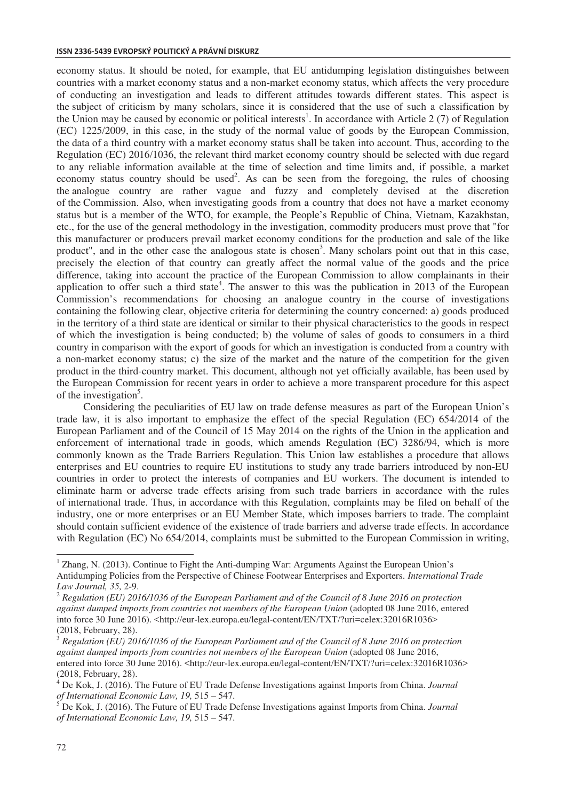#### **ISSN 2336-5439 EVROPSKÝ POLITICKÝ A PRÁVNÍ DISKURZ**

economy status. It should be noted, for example, that EU antidumping legislation distinguishes between countries with a market economy status and a non-market economy status, which affects the very procedure of conducting an investigation and leads to different attitudes towards different states. This aspect is the subject of criticism by many scholars, since it is considered that the use of such a classification by the Union may be caused by economic or political interests<sup>1</sup>. In accordance with Article 2 (7) of Regulation (EC) 1225/2009, in this case, in the study of the normal value of goods by the European Commission, the data of a third country with a market economy status shall be taken into account. Thus, according to the Regulation (EC) 2016/1036, the relevant third market economy country should be selected with due regard to any reliable information available at the time of selection and time limits and, if possible, a market economy status country should be used<sup>2</sup>. As can be seen from the foregoing, the rules of choosing the analogue country are rather vague and fuzzy and completely devised at the discretion of the Commission. Also, when investigating goods from a country that does not have a market economy status but is a member of the WTO, for example, the People's Republic of China, Vietnam, Kazakhstan, etc., for the use of the general methodology in the investigation, commodity producers must prove that "for this manufacturer or producers prevail market economy conditions for the production and sale of the like product", and in the other case the analogous state is chosen<sup>3</sup>. Many scholars point out that in this case, precisely the election of that country can greatly affect the normal value of the goods and the price difference, taking into account the practice of the European Commission to allow complainants in their application to offer such a third state<sup>4</sup>. The answer to this was the publication in 2013 of the European Commission's recommendations for choosing an analogue country in the course of investigations containing the following clear, objective criteria for determining the country concerned: a) goods produced in the territory of a third state are identical or similar to their physical characteristics to the goods in respect of which the investigation is being conducted; b) the volume of sales of goods to consumers in a third country in comparison with the export of goods for which an investigation is conducted from a country with a non-market economy status; c) the size of the market and the nature of the competition for the given product in the third-country market. This document, although not yet officially available, has been used by the European Commission for recent years in order to achieve a more transparent procedure for this aspect of the investigation<sup>5</sup>.

Considering the peculiarities of EU law on trade defense measures as part of the European Union's trade law, it is also important to emphasize the effect of the special Regulation (EC) 654/2014 of the European Parliament and of the Council of 15 May 2014 on the rights of the Union in the application and enforcement of international trade in goods, which amends Regulation (EC) 3286/94, which is more commonly known as the Trade Barriers Regulation. This Union law establishes a procedure that allows enterprises and EU countries to require EU institutions to study any trade barriers introduced by non-EU countries in order to protect the interests of companies and EU workers. The document is intended to eliminate harm or adverse trade effects arising from such trade barriers in accordance with the rules of international trade. Thus, in accordance with this Regulation, complaints may be filed on behalf of the industry, one or more enterprises or an EU Member State, which imposes barriers to trade. The complaint should contain sufficient evidence of the existence of trade barriers and adverse trade effects. In accordance with Regulation (EC) No 654/2014, complaints must be submitted to the European Commission in writing,

 $\overline{a}$ 

 $1$  Zhang, N. (2013). Continue to Fight the Anti-dumping War: Arguments Against the European Union's Antidumping Policies from the Perspective of Chinese Footwear Enterprises and Exporters. *International Trade Law Journal, 35, 2-9.*<br><sup>2</sup> *Regulation (EU) 2016/1036 of the European Parliament and of the Council of 8 June 2016 on protection* 

*against dumped imports from countries not members of the European Union* (adopted 08 June 2016, entered into force 30 June 2016). <http://eur-lex.europa.eu/legal-content/EN/TXT/?uri=celex:32016R1036> (2018, February, 28).

<sup>3</sup> *Regulation (EU) 2016/1036 of the European Parliament and of the Council of 8 June 2016 on protection against dumped imports from countries not members of the European Union* (adopted 08 June 2016, entered into force 30 June 2016). <http://eur-lex.europa.eu/legal-content/EN/TXT/?uri=celex:32016R1036> (2018, February, 28).

<sup>4</sup> De Kok, J. (2016). The Future of EU Trade Defense Investigations against Imports from China. *Journal of International Economic Law, 19,* 515 – 547.

<sup>5</sup> De Kok, J. (2016). The Future of EU Trade Defense Investigations against Imports from China. *Journal of International Economic Law, 19,* 515 – 547.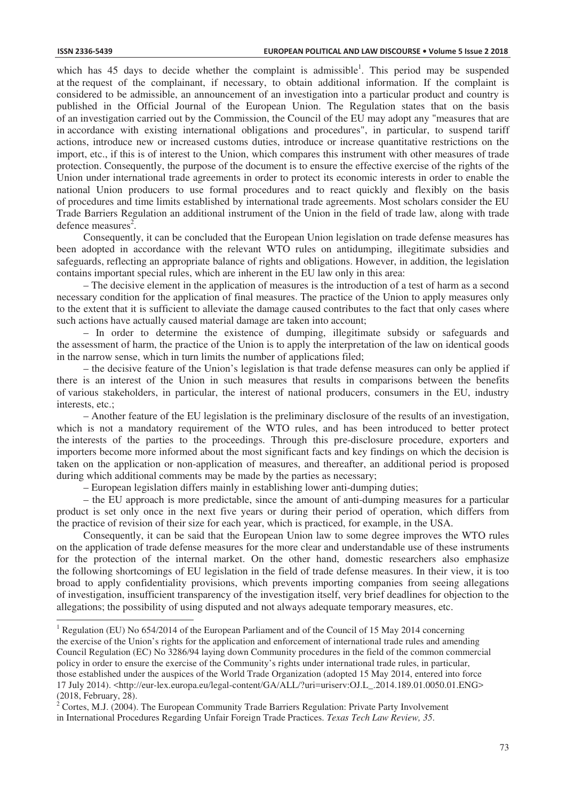which has  $45$  days to decide whether the complaint is admissible<sup>1</sup>. This period may be suspended at the request of the complainant, if necessary, to obtain additional information. If the complaint is considered to be admissible, an announcement of an investigation into a particular product and country is published in the Official Journal of the European Union. The Regulation states that on the basis of an investigation carried out by the Commission, the Council of the EU may adopt any "measures that are in accordance with existing international obligations and procedures", in particular, to suspend tariff actions, introduce new or increased customs duties, introduce or increase quantitative restrictions on the import, etc., if this is of interest to the Union, which compares this instrument with other measures of trade protection. Consequently, the purpose of the document is to ensure the effective exercise of the rights of the Union under international trade agreements in order to protect its economic interests in order to enable the national Union producers to use formal procedures and to react quickly and flexibly on the basis of procedures and time limits established by international trade agreements. Most scholars consider the EU Trade Barriers Regulation an additional instrument of the Union in the field of trade law, along with trade defence measures<sup>2</sup>.

Consequently, it can be concluded that the European Union legislation on trade defense measures has been adopted in accordance with the relevant WTO rules on antidumping, illegitimate subsidies and safeguards, reflecting an appropriate balance of rights and obligations. However, in addition, the legislation contains important special rules, which are inherent in the EU law only in this area:

– The decisive element in the application of measures is the introduction of a test of harm as a second necessary condition for the application of final measures. The practice of the Union to apply measures only to the extent that it is sufficient to alleviate the damage caused contributes to the fact that only cases where such actions have actually caused material damage are taken into account;

– In order to determine the existence of dumping, illegitimate subsidy or safeguards and the assessment of harm, the practice of the Union is to apply the interpretation of the law on identical goods in the narrow sense, which in turn limits the number of applications filed;

– the decisive feature of the Union's legislation is that trade defense measures can only be applied if there is an interest of the Union in such measures that results in comparisons between the benefits of various stakeholders, in particular, the interest of national producers, consumers in the EU, industry interests, etc.;

– Another feature of the EU legislation is the preliminary disclosure of the results of an investigation, which is not a mandatory requirement of the WTO rules, and has been introduced to better protect the interests of the parties to the proceedings. Through this pre-disclosure procedure, exporters and importers become more informed about the most significant facts and key findings on which the decision is taken on the application or non-application of measures, and thereafter, an additional period is proposed during which additional comments may be made by the parties as necessary;

– European legislation differs mainly in establishing lower anti-dumping duties;

– the EU approach is more predictable, since the amount of anti-dumping measures for a particular product is set only once in the next five years or during their period of operation, which differs from the practice of revision of their size for each year, which is practiced, for example, in the USA.

Consequently, it can be said that the European Union law to some degree improves the WTO rules on the application of trade defense measures for the more clear and understandable use of these instruments for the protection of the internal market. On the other hand, domestic researchers also emphasize the following shortcomings of EU legislation in the field of trade defense measures. In their view, it is too broad to apply confidentiality provisions, which prevents importing companies from seeing allegations of investigation, insufficient transparency of the investigation itself, very brief deadlines for objection to the allegations; the possibility of using disputed and not always adequate temporary measures, etc.

<sup>&</sup>lt;sup>1</sup> Regulation (EU) No 654/2014 of the European Parliament and of the Council of 15 May 2014 concerning the exercise of the Union's rights for the application and enforcement of international trade rules and amending Council Regulation (EC) No 3286/94 laying down Community procedures in the field of the common commercial policy in order to ensure the exercise of the Community's rights under international trade rules, in particular, those established under the auspices of the World Trade Organization (adopted 15 May 2014, entered into force 17 July 2014). <http://eur-lex.europa.eu/legal-content/GA/ALL/?uri=uriserv:OJ.L\_.2014.189.01.0050.01.ENG> (2018, February, 28).

 $2^{2}$  Cortes, M.J. (2004). The European Community Trade Barriers Regulation: Private Party Involvement in International Procedures Regarding Unfair Foreign Trade Practices. *Texas Tech Law Review, 35*.